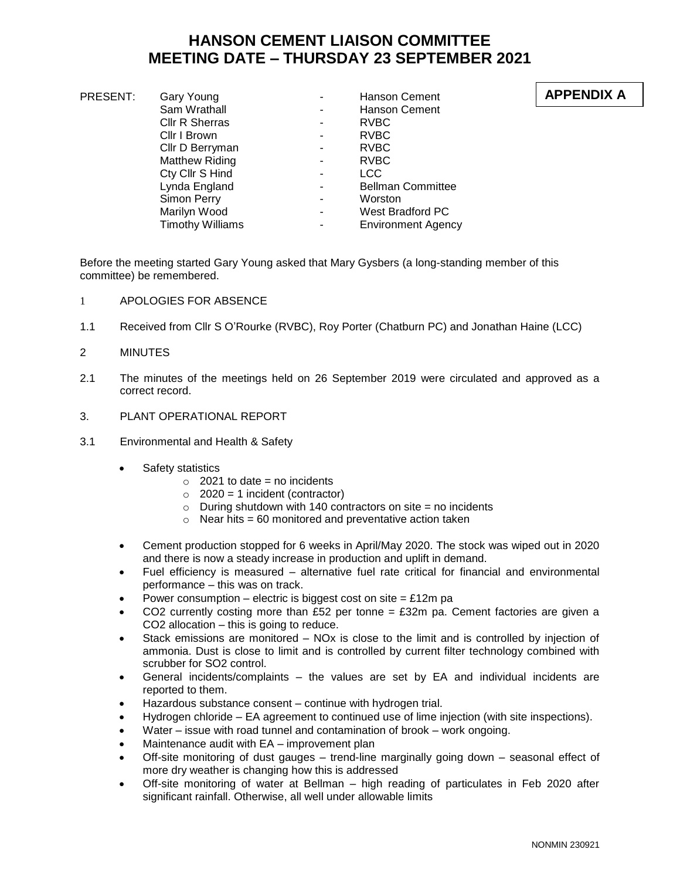# **HANSON CEMENT LIAISON COMMITTEE MEETING DATE – THURSDAY 23 SEPTEMBER 2021**

| PRESENT: | Gary Young              |   | <b>Hanson Cement</b>      | AP |
|----------|-------------------------|---|---------------------------|----|
|          | Sam Wrathall            | ۰ | Hanson Cement             |    |
|          | Cllr R Sherras          | ۰ | RVBC                      |    |
|          | Cllr I Brown            | ۰ | RVBC                      |    |
|          | Cllr D Berryman         | ۰ | RVBC                      |    |
|          | <b>Matthew Riding</b>   | ٠ | RVBC                      |    |
|          | Cty Cllr S Hind         | ۰ | <b>LCC</b>                |    |
|          | Lynda England           |   | <b>Bellman Committee</b>  |    |
|          | Simon Perry             | ۰ | Worston                   |    |
|          | Marilyn Wood            | ۰ | West Bradford PC          |    |
|          | <b>Timothy Williams</b> | ۰ | <b>Environment Agency</b> |    |
|          |                         |   |                           |    |

Before the meeting started Gary Young asked that Mary Gysbers (a long-standing member of this committee) be remembered.

- 1 APOLOGIES FOR ABSENCE
- 1.1 Received from Cllr S O'Rourke (RVBC), Roy Porter (Chatburn PC) and Jonathan Haine (LCC)
- 2 MINUTES
- 2.1 The minutes of the meetings held on 26 September 2019 were circulated and approved as a correct record.
- 3. PLANT OPERATIONAL REPORT
- 3.1 Environmental and Health & Safety
	- Safety statistics
		- $\circ$  2021 to date = no incidents
		- $\circ$  2020 = 1 incident (contractor)
		- $\circ$  During shutdown with 140 contractors on site = no incidents
		- $\circ$  Near hits = 60 monitored and preventative action taken
	- Cement production stopped for 6 weeks in April/May 2020. The stock was wiped out in 2020 and there is now a steady increase in production and uplift in demand.
	- Fuel efficiency is measured alternative fuel rate critical for financial and environmental performance – this was on track.
	- Power consumption electric is biggest cost on site =  $£12m$  pa
	- CO2 currently costing more than £52 per tonne =  $£32m$  pa. Cement factories are given a CO2 allocation – this is going to reduce.
	- Stack emissions are monitored NOx is close to the limit and is controlled by injection of ammonia. Dust is close to limit and is controlled by current filter technology combined with scrubber for SO2 control.
	- General incidents/complaints the values are set by EA and individual incidents are reported to them.
	- Hazardous substance consent continue with hydrogen trial.
	- Hydrogen chloride EA agreement to continued use of lime injection (with site inspections).
	- Water issue with road tunnel and contamination of brook work ongoing.
	- Maintenance audit with EA improvement plan
	- Off-site monitoring of dust gauges trend-line marginally going down seasonal effect of more dry weather is changing how this is addressed
	- Off-site monitoring of water at Bellman high reading of particulates in Feb 2020 after significant rainfall. Otherwise, all well under allowable limits

## **APPENDIX A**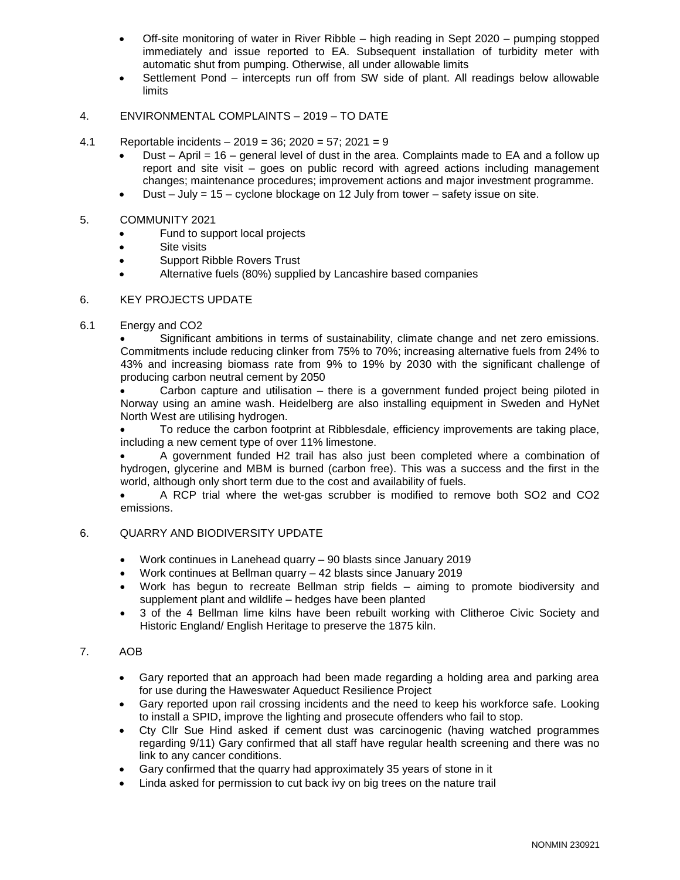- Off-site monitoring of water in River Ribble high reading in Sept 2020 pumping stopped immediately and issue reported to EA. Subsequent installation of turbidity meter with automatic shut from pumping. Otherwise, all under allowable limits
- Settlement Pond intercepts run off from SW side of plant. All readings below allowable limits

### 4. ENVIRONMENTAL COMPLAINTS – 2019 – TO DATE

- 4.1 Reportable incidents 2019 = 36; 2020 = 57; 2021 = 9
	- Dust April = 16 general level of dust in the area. Complaints made to EA and a follow up report and site visit – goes on public record with agreed actions including management changes; maintenance procedures; improvement actions and major investment programme.
	- Dust  $-$  July = 15 cyclone blockage on 12 July from tower safety issue on site.

#### 5. COMMUNITY 2021

- Fund to support local projects
- Site visits
- Support Ribble Rovers Trust
- Alternative fuels (80%) supplied by Lancashire based companies

#### 6. KEY PROJECTS UPDATE

6.1 Energy and CO2

 Significant ambitions in terms of sustainability, climate change and net zero emissions. Commitments include reducing clinker from 75% to 70%; increasing alternative fuels from 24% to 43% and increasing biomass rate from 9% to 19% by 2030 with the significant challenge of producing carbon neutral cement by 2050

 Carbon capture and utilisation – there is a government funded project being piloted in Norway using an amine wash. Heidelberg are also installing equipment in Sweden and HyNet North West are utilising hydrogen.

 To reduce the carbon footprint at Ribblesdale, efficiency improvements are taking place, including a new cement type of over 11% limestone.

 A government funded H2 trail has also just been completed where a combination of hydrogen, glycerine and MBM is burned (carbon free). This was a success and the first in the world, although only short term due to the cost and availability of fuels.

 A RCP trial where the wet-gas scrubber is modified to remove both SO2 and CO2 emissions.

#### 6. QUARRY AND BIODIVERSITY UPDATE

- Work continues in Lanehead quarry 90 blasts since January 2019
- Work continues at Bellman quarry 42 blasts since January 2019
- Work has begun to recreate Bellman strip fields aiming to promote biodiversity and supplement plant and wildlife – hedges have been planted
- 3 of the 4 Bellman lime kilns have been rebuilt working with Clitheroe Civic Society and Historic England/ English Heritage to preserve the 1875 kiln.

#### 7. AOB

- Gary reported that an approach had been made regarding a holding area and parking area for use during the Haweswater Aqueduct Resilience Project
- Gary reported upon rail crossing incidents and the need to keep his workforce safe. Looking to install a SPID, improve the lighting and prosecute offenders who fail to stop.
- Cty Cllr Sue Hind asked if cement dust was carcinogenic (having watched programmes regarding 9/11) Gary confirmed that all staff have regular health screening and there was no link to any cancer conditions.
- Gary confirmed that the quarry had approximately 35 years of stone in it
- Linda asked for permission to cut back ivy on big trees on the nature trail